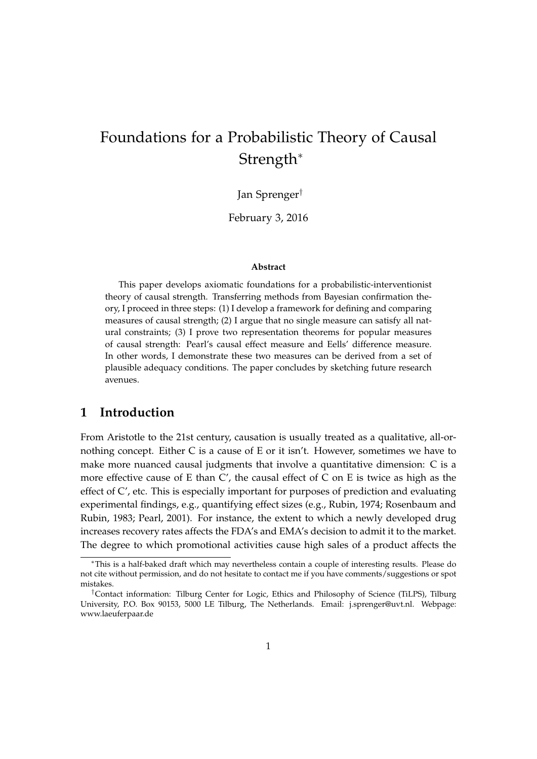# Foundations for a Probabilistic Theory of Causal Strength<sup>∗</sup>

Jan Sprenger†

February 3, 2016

#### **Abstract**

This paper develops axiomatic foundations for a probabilistic-interventionist theory of causal strength. Transferring methods from Bayesian confirmation theory, I proceed in three steps: (1) I develop a framework for defining and comparing measures of causal strength; (2) I argue that no single measure can satisfy all natural constraints; (3) I prove two representation theorems for popular measures of causal strength: Pearl's causal effect measure and Eells' difference measure. In other words, I demonstrate these two measures can be derived from a set of plausible adequacy conditions. The paper concludes by sketching future research avenues.

## **1 Introduction**

From Aristotle to the 21st century, causation is usually treated as a qualitative, all-ornothing concept. Either C is a cause of E or it isn't. However, sometimes we have to make more nuanced causal judgments that involve a quantitative dimension: C is a more effective cause of E than  $C'$ , the causal effect of C on E is twice as high as the effect of C', etc. This is especially important for purposes of prediction and evaluating experimental findings, e.g., quantifying effect sizes (e.g., Rubin, 1974; Rosenbaum and Rubin, 1983; Pearl, 2001). For instance, the extent to which a newly developed drug increases recovery rates affects the FDA's and EMA's decision to admit it to the market. The degree to which promotional activities cause high sales of a product affects the

<sup>∗</sup>This is a half-baked draft which may nevertheless contain a couple of interesting results. Please do not cite without permission, and do not hesitate to contact me if you have comments/suggestions or spot mistakes.

<sup>†</sup>Contact information: Tilburg Center for Logic, Ethics and Philosophy of Science (TiLPS), Tilburg University, P.O. Box 90153, 5000 LE Tilburg, The Netherlands. Email: j.sprenger@uvt.nl. Webpage: www.laeuferpaar.de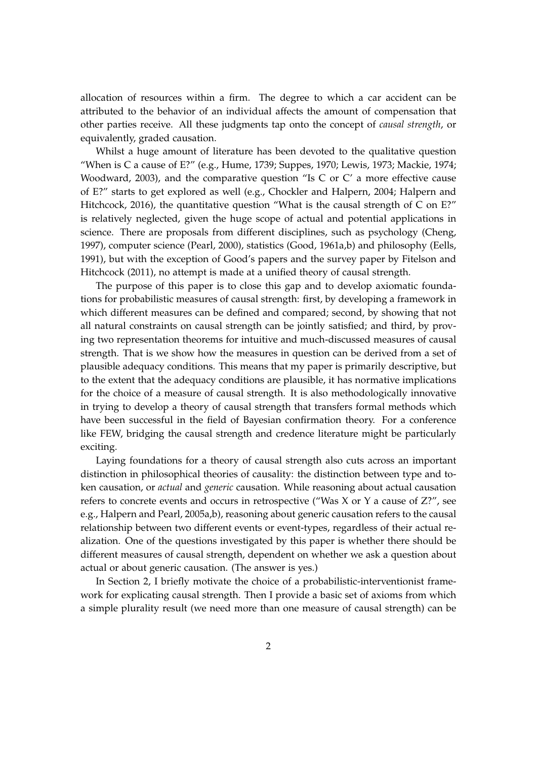allocation of resources within a firm. The degree to which a car accident can be attributed to the behavior of an individual affects the amount of compensation that other parties receive. All these judgments tap onto the concept of *causal strength*, or equivalently, graded causation.

Whilst a huge amount of literature has been devoted to the qualitative question "When is C a cause of E?" (e.g., Hume, 1739; Suppes, 1970; Lewis, 1973; Mackie, 1974; Woodward, 2003), and the comparative question "Is C or C' a more effective cause of E?" starts to get explored as well (e.g., Chockler and Halpern, 2004; Halpern and Hitchcock, 2016), the quantitative question "What is the causal strength of C on E?" is relatively neglected, given the huge scope of actual and potential applications in science. There are proposals from different disciplines, such as psychology (Cheng, 1997), computer science (Pearl, 2000), statistics (Good, 1961a,b) and philosophy (Eells, 1991), but with the exception of Good's papers and the survey paper by Fitelson and Hitchcock (2011), no attempt is made at a unified theory of causal strength.

The purpose of this paper is to close this gap and to develop axiomatic foundations for probabilistic measures of causal strength: first, by developing a framework in which different measures can be defined and compared; second, by showing that not all natural constraints on causal strength can be jointly satisfied; and third, by proving two representation theorems for intuitive and much-discussed measures of causal strength. That is we show how the measures in question can be derived from a set of plausible adequacy conditions. This means that my paper is primarily descriptive, but to the extent that the adequacy conditions are plausible, it has normative implications for the choice of a measure of causal strength. It is also methodologically innovative in trying to develop a theory of causal strength that transfers formal methods which have been successful in the field of Bayesian confirmation theory. For a conference like FEW, bridging the causal strength and credence literature might be particularly exciting.

Laying foundations for a theory of causal strength also cuts across an important distinction in philosophical theories of causality: the distinction between type and token causation, or *actual* and *generic* causation. While reasoning about actual causation refers to concrete events and occurs in retrospective ("Was X or Y a cause of Z?", see e.g., Halpern and Pearl, 2005a,b), reasoning about generic causation refers to the causal relationship between two different events or event-types, regardless of their actual realization. One of the questions investigated by this paper is whether there should be different measures of causal strength, dependent on whether we ask a question about actual or about generic causation. (The answer is yes.)

In Section 2, I briefly motivate the choice of a probabilistic-interventionist framework for explicating causal strength. Then I provide a basic set of axioms from which a simple plurality result (we need more than one measure of causal strength) can be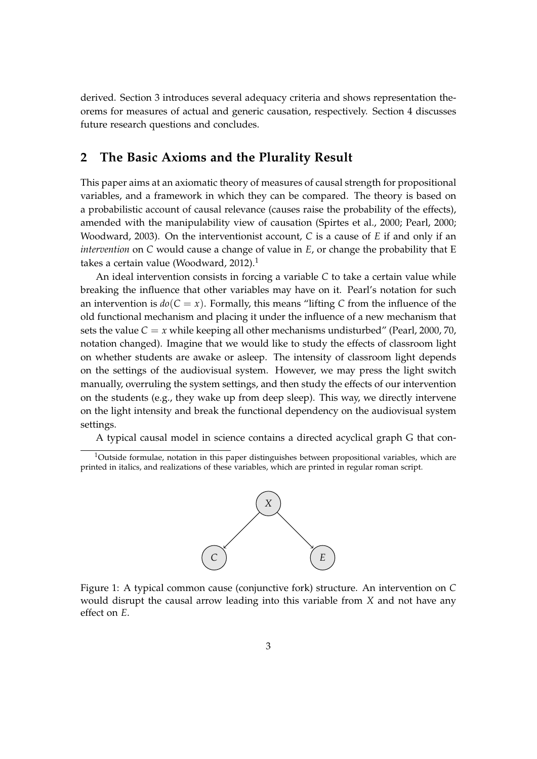derived. Section 3 introduces several adequacy criteria and shows representation theorems for measures of actual and generic causation, respectively. Section 4 discusses future research questions and concludes.

# **2 The Basic Axioms and the Plurality Result**

This paper aims at an axiomatic theory of measures of causal strength for propositional variables, and a framework in which they can be compared. The theory is based on a probabilistic account of causal relevance (causes raise the probability of the effects), amended with the manipulability view of causation (Spirtes et al., 2000; Pearl, 2000; Woodward, 2003). On the interventionist account, *C* is a cause of *E* if and only if an *intervention* on *C* would cause a change of value in *E*, or change the probability that E takes a certain value (Woodward, 2012).<sup>1</sup>

An ideal intervention consists in forcing a variable *C* to take a certain value while breaking the influence that other variables may have on it. Pearl's notation for such an intervention is  $d\rho(C = x)$ . Formally, this means "lifting C from the influence of the old functional mechanism and placing it under the influence of a new mechanism that sets the value  $C = x$  while keeping all other mechanisms undisturbed" (Pearl, 2000, 70, notation changed). Imagine that we would like to study the effects of classroom light on whether students are awake or asleep. The intensity of classroom light depends on the settings of the audiovisual system. However, we may press the light switch manually, overruling the system settings, and then study the effects of our intervention on the students (e.g., they wake up from deep sleep). This way, we directly intervene on the light intensity and break the functional dependency on the audiovisual system settings.

A typical causal model in science contains a directed acyclical graph G that con-

<sup>&</sup>lt;sup>1</sup>Outside formulae, notation in this paper distinguishes between propositional variables, which are printed in italics, and realizations of these variables, which are printed in regular roman script.



Figure 1: A typical common cause (conjunctive fork) structure. An intervention on *C* would disrupt the causal arrow leading into this variable from *X* and not have any effect on *E*.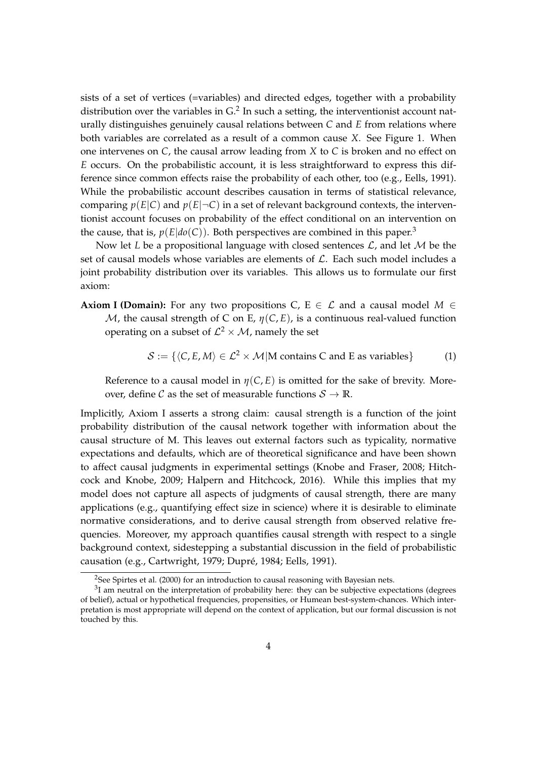sists of a set of vertices (=variables) and directed edges, together with a probability distribution over the variables in  $G<sup>2</sup>$  In such a setting, the interventionist account naturally distinguishes genuinely causal relations between *C* and *E* from relations where both variables are correlated as a result of a common cause *X*. See Figure 1. When one intervenes on *C*, the causal arrow leading from *X* to *C* is broken and no effect on *E* occurs. On the probabilistic account, it is less straightforward to express this difference since common effects raise the probability of each other, too (e.g., Eells, 1991). While the probabilistic account describes causation in terms of statistical relevance, comparing  $p(E|C)$  and  $p(E|\neg C)$  in a set of relevant background contexts, the interventionist account focuses on probability of the effect conditional on an intervention on the cause, that is,  $p(E|do(C))$ . Both perspectives are combined in this paper.<sup>3</sup>

Now let *L* be a propositional language with closed sentences  $\mathcal{L}$ , and let *M* be the set of causal models whose variables are elements of  $\mathcal{L}$ . Each such model includes a joint probability distribution over its variables. This allows us to formulate our first axiom:

**Axiom I (Domain):** For any two propositions C, E  $\in \mathcal{L}$  and a causal model  $M \in$ M, the causal strength of C on E,  $\eta(C, E)$ , is a continuous real-valued function operating on a subset of  $\mathcal{L}^2 \times \mathcal{M}$ , namely the set

$$
S := \{ \langle C, E, M \rangle \in \mathcal{L}^2 \times \mathcal{M} | \mathbf{M} \text{ contains } C \text{ and } E \text{ as variables} \} \tag{1}
$$

Reference to a causal model in  $\eta(C, E)$  is omitted for the sake of brevity. Moreover, define C as the set of measurable functions  $S \to \mathbb{R}$ .

Implicitly, Axiom I asserts a strong claim: causal strength is a function of the joint probability distribution of the causal network together with information about the causal structure of M. This leaves out external factors such as typicality, normative expectations and defaults, which are of theoretical significance and have been shown to affect causal judgments in experimental settings (Knobe and Fraser, 2008; Hitchcock and Knobe, 2009; Halpern and Hitchcock, 2016). While this implies that my model does not capture all aspects of judgments of causal strength, there are many applications (e.g., quantifying effect size in science) where it is desirable to eliminate normative considerations, and to derive causal strength from observed relative frequencies. Moreover, my approach quantifies causal strength with respect to a single background context, sidestepping a substantial discussion in the field of probabilistic causation (e.g., Cartwright, 1979; Dupré, 1984; Eells, 1991).

<sup>&</sup>lt;sup>2</sup>See Spirtes et al. (2000) for an introduction to causal reasoning with Bayesian nets.

 $31$  am neutral on the interpretation of probability here: they can be subjective expectations (degrees of belief), actual or hypothetical frequencies, propensities, or Humean best-system-chances. Which interpretation is most appropriate will depend on the context of application, but our formal discussion is not touched by this.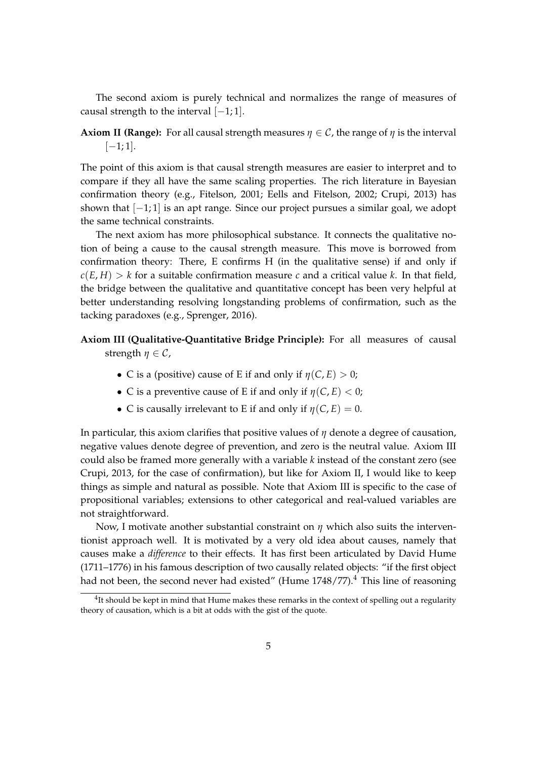The second axiom is purely technical and normalizes the range of measures of causal strength to the interval  $[-1, 1]$ .

## **Axiom II (Range):** For all causal strength measures  $\eta \in \mathcal{C}$ , the range of  $\eta$  is the interval  $[-1; 1]$ .

The point of this axiom is that causal strength measures are easier to interpret and to compare if they all have the same scaling properties. The rich literature in Bayesian confirmation theory (e.g., Fitelson, 2001; Eells and Fitelson, 2002; Crupi, 2013) has shown that [−1; 1] is an apt range. Since our project pursues a similar goal, we adopt the same technical constraints.

The next axiom has more philosophical substance. It connects the qualitative notion of being a cause to the causal strength measure. This move is borrowed from confirmation theory: There, E confirms H (in the qualitative sense) if and only if  $c(E, H) > k$  for a suitable confirmation measure *c* and a critical value *k*. In that field, the bridge between the qualitative and quantitative concept has been very helpful at better understanding resolving longstanding problems of confirmation, such as the tacking paradoxes (e.g., Sprenger, 2016).

# **Axiom III (Qualitative-Quantitative Bridge Principle):** For all measures of causal strength  $\eta \in \mathcal{C}$ ,

- C is a (positive) cause of E if and only if  $\eta(C, E) > 0$ ;
- C is a preventive cause of E if and only if  $\eta(C, E) < 0$ ;
- C is causally irrelevant to E if and only if  $\eta(C, E) = 0$ .

In particular, this axiom clarifies that positive values of *η* denote a degree of causation, negative values denote degree of prevention, and zero is the neutral value. Axiom III could also be framed more generally with a variable *k* instead of the constant zero (see Crupi, 2013, for the case of confirmation), but like for Axiom II, I would like to keep things as simple and natural as possible. Note that Axiom III is specific to the case of propositional variables; extensions to other categorical and real-valued variables are not straightforward.

Now, I motivate another substantial constraint on *η* which also suits the interventionist approach well. It is motivated by a very old idea about causes, namely that causes make a *difference* to their effects. It has first been articulated by David Hume (1711–1776) in his famous description of two causally related objects: "if the first object had not been, the second never had existed" (Hume  $1748/77$ ).<sup>4</sup> This line of reasoning

 $^{4}$ It should be kept in mind that Hume makes these remarks in the context of spelling out a regularity theory of causation, which is a bit at odds with the gist of the quote.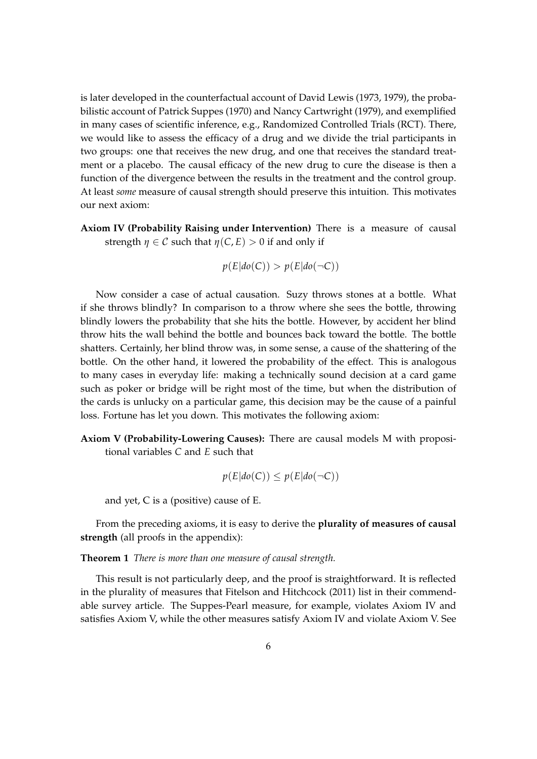is later developed in the counterfactual account of David Lewis (1973, 1979), the probabilistic account of Patrick Suppes (1970) and Nancy Cartwright (1979), and exemplified in many cases of scientific inference, e.g., Randomized Controlled Trials (RCT). There, we would like to assess the efficacy of a drug and we divide the trial participants in two groups: one that receives the new drug, and one that receives the standard treatment or a placebo. The causal efficacy of the new drug to cure the disease is then a function of the divergence between the results in the treatment and the control group. At least *some* measure of causal strength should preserve this intuition. This motivates our next axiom:

**Axiom IV (Probability Raising under Intervention)** There is a measure of causal strength  $\eta \in \mathcal{C}$  such that  $\eta(C, E) > 0$  if and only if

$$
p(E|do(C)) > p(E|do(\neg C))
$$

Now consider a case of actual causation. Suzy throws stones at a bottle. What if she throws blindly? In comparison to a throw where she sees the bottle, throwing blindly lowers the probability that she hits the bottle. However, by accident her blind throw hits the wall behind the bottle and bounces back toward the bottle. The bottle shatters. Certainly, her blind throw was, in some sense, a cause of the shattering of the bottle. On the other hand, it lowered the probability of the effect. This is analogous to many cases in everyday life: making a technically sound decision at a card game such as poker or bridge will be right most of the time, but when the distribution of the cards is unlucky on a particular game, this decision may be the cause of a painful loss. Fortune has let you down. This motivates the following axiom:

**Axiom V (Probability-Lowering Causes):** There are causal models M with propositional variables *C* and *E* such that

$$
p(E|do(C)) \leq p(E|do(\neg C))
$$

and yet, C is a (positive) cause of E.

From the preceding axioms, it is easy to derive the **plurality of measures of causal strength** (all proofs in the appendix):

**Theorem 1** *There is more than one measure of causal strength.*

This result is not particularly deep, and the proof is straightforward. It is reflected in the plurality of measures that Fitelson and Hitchcock (2011) list in their commendable survey article. The Suppes-Pearl measure, for example, violates Axiom IV and satisfies Axiom V, while the other measures satisfy Axiom IV and violate Axiom V. See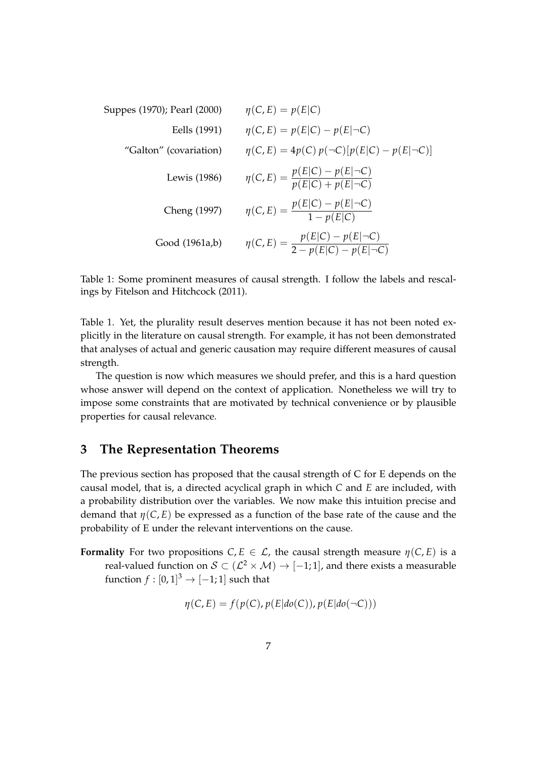Suppes (1970); Pearl (2000) 
$$
\eta(C, E) = p(E|C)
$$
  
\nEells (1991)  $\eta(C, E) = p(E|C) - p(E|\neg C)$   
\n"Galton" (covariation)  $\eta(C, E) = 4p(C) p(\neg C)[p(E|C) - p(E|\neg C)]$   
\nLewis (1986)  $\eta(C, E) = \frac{p(E|C) - p(E|\neg C)}{p(E|C) + p(E|\neg C)}$   
\nCheng (1997)  $\eta(C, E) = \frac{p(E|C) - p(E|\neg C)}{1 - p(E|C)}$   
\nGood (1961a,b)  $\eta(C, E) = \frac{p(E|C) - p(E|\neg C)}{2 - p(E|C) - p(E|\neg C)}$ 

Table 1: Some prominent measures of causal strength. I follow the labels and rescalings by Fitelson and Hitchcock (2011).

Table 1. Yet, the plurality result deserves mention because it has not been noted explicitly in the literature on causal strength. For example, it has not been demonstrated that analyses of actual and generic causation may require different measures of causal strength.

The question is now which measures we should prefer, and this is a hard question whose answer will depend on the context of application. Nonetheless we will try to impose some constraints that are motivated by technical convenience or by plausible properties for causal relevance.

# **3 The Representation Theorems**

The previous section has proposed that the causal strength of C for E depends on the causal model, that is, a directed acyclical graph in which *C* and *E* are included, with a probability distribution over the variables. We now make this intuition precise and demand that  $\eta(C, E)$  be expressed as a function of the base rate of the cause and the probability of E under the relevant interventions on the cause.

**Formality** For two propositions  $C, E \in \mathcal{L}$ , the causal strength measure  $\eta(C, E)$  is a real-valued function on  $\mathcal{S} \subset (\mathcal{L}^2 \times \mathcal{M}) \to [-1;1]$ , and there exists a measurable function  $f:[0,1]^3\rightarrow [-1;1]$  such that

$$
\eta(C, E) = f(p(C), p(E|do(C)), p(E|do(\neg C)))
$$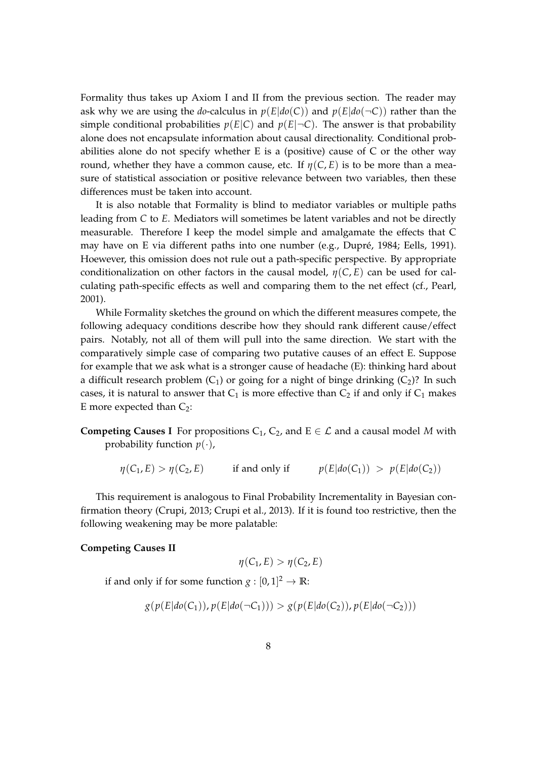Formality thus takes up Axiom I and II from the previous section. The reader may ask why we are using the *do*-calculus in  $p(E|do(C))$  and  $p(E|do(\neg C))$  rather than the simple conditional probabilities  $p(E|C)$  and  $p(E|\neg C)$ . The answer is that probability alone does not encapsulate information about causal directionality. Conditional probabilities alone do not specify whether E is a (positive) cause of C or the other way round, whether they have a common cause, etc. If  $\eta(C, E)$  is to be more than a measure of statistical association or positive relevance between two variables, then these differences must be taken into account.

It is also notable that Formality is blind to mediator variables or multiple paths leading from *C* to *E*. Mediators will sometimes be latent variables and not be directly measurable. Therefore I keep the model simple and amalgamate the effects that C may have on E via different paths into one number (e.g., Dupré, 1984; Eells, 1991). Hoewever, this omission does not rule out a path-specific perspective. By appropriate conditionalization on other factors in the causal model,  $\eta(C, E)$  can be used for calculating path-specific effects as well and comparing them to the net effect (cf., Pearl, 2001).

While Formality sketches the ground on which the different measures compete, the following adequacy conditions describe how they should rank different cause/effect pairs. Notably, not all of them will pull into the same direction. We start with the comparatively simple case of comparing two putative causes of an effect E. Suppose for example that we ask what is a stronger cause of headache (E): thinking hard about a difficult research problem  $(C_1)$  or going for a night of binge drinking  $(C_2)$ ? In such cases, it is natural to answer that  $C_1$  is more effective than  $C_2$  if and only if  $C_1$  makes E more expected than  $C_2$ :

**Competing Causes I** For propositions  $C_1$ ,  $C_2$ , and  $E \in \mathcal{L}$  and a causal model *M* with probability function  $p(\cdot)$ ,

$$
\eta(C_1, E) > \eta(C_2, E)
$$
 if and only if  $p(E|do(C_1)) > p(E|do(C_2))$ 

This requirement is analogous to Final Probability Incrementality in Bayesian confirmation theory (Crupi, 2013; Crupi et al., 2013). If it is found too restrictive, then the following weakening may be more palatable:

#### **Competing Causes II**

$$
\eta(C_1,E) > \eta(C_2,E)
$$

if and only if for some function  $g: [0,1]^2 \to \mathbb{R}$ :

$$
g(p(E|do(C_1)), p(E|do(\neg C_1))) > g(p(E|do(C_2)), p(E|do(\neg C_2)))
$$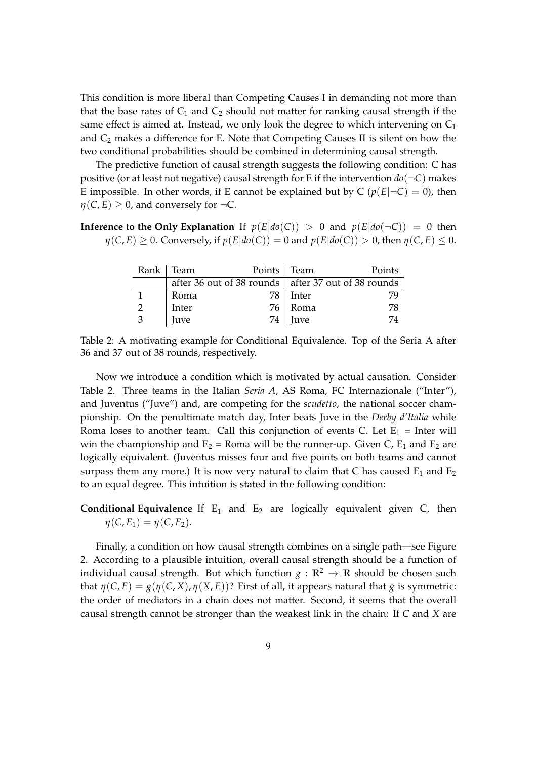This condition is more liberal than Competing Causes I in demanding not more than that the base rates of  $C_1$  and  $C_2$  should not matter for ranking causal strength if the same effect is aimed at. Instead, we only look the degree to which intervening on  $C_1$ and  $C_2$  makes a difference for E. Note that Competing Causes II is silent on how the two conditional probabilities should be combined in determining causal strength.

The predictive function of causal strength suggests the following condition: C has positive (or at least not negative) causal strength for E if the intervention  $do(\neg C)$  makes E impossible. In other words, if E cannot be explained but by  $C (p(E|\neg C) = 0)$ , then  $\eta(C, E) \geq 0$ , and conversely for  $\neg C$ .

## **Inference to the Only Explanation** If  $p(E|do(C)) > 0$  and  $p(E|do(\neg C)) = 0$  then  $\eta(C, E) \geq 0$ . Conversely, if  $p(E|do(C)) = 0$  and  $p(E|do(C)) > 0$ , then  $\eta(C, E) \leq 0$ .

|   | Rank   Team | Points   Team |                                                             | Points |  |  |
|---|-------------|---------------|-------------------------------------------------------------|--------|--|--|
|   |             |               | after 36 out of 38 rounds $\vert$ after 37 out of 38 rounds |        |  |  |
|   | Roma        | 78            | Inter                                                       |        |  |  |
|   | Inter       |               | 76 Roma                                                     | 78     |  |  |
| 3 | Juve        |               | $74$ Juve                                                   | 74     |  |  |

Table 2: A motivating example for Conditional Equivalence. Top of the Seria A after 36 and 37 out of 38 rounds, respectively.

Now we introduce a condition which is motivated by actual causation. Consider Table 2. Three teams in the Italian *Seria A*, AS Roma, FC Internazionale ("Inter"), and Juventus ("Juve") and, are competing for the *scudetto*, the national soccer championship. On the penultimate match day, Inter beats Juve in the *Derby d'Italia* while Roma loses to another team. Call this conjunction of events C. Let  $E_1$  = Inter will win the championship and  $E_2$  = Roma will be the runner-up. Given C,  $E_1$  and  $E_2$  are logically equivalent. (Juventus misses four and five points on both teams and cannot surpass them any more.) It is now very natural to claim that C has caused  $E_1$  and  $E_2$ to an equal degree. This intuition is stated in the following condition:

# **Conditional Equivalence** If  $E_1$  and  $E_2$  are logically equivalent given C, then  $\eta(C, E_1) = \eta(C, E_2)$ .

Finally, a condition on how causal strength combines on a single path—see Figure 2. According to a plausible intuition, overall causal strength should be a function of individual causal strength. But which function  $g : \mathbb{R}^2 \to \mathbb{R}$  should be chosen such that  $\eta(C, E) = g(\eta(C, X), \eta(X, E))$ ? First of all, it appears natural that *g* is symmetric: the order of mediators in a chain does not matter. Second, it seems that the overall causal strength cannot be stronger than the weakest link in the chain: If *C* and *X* are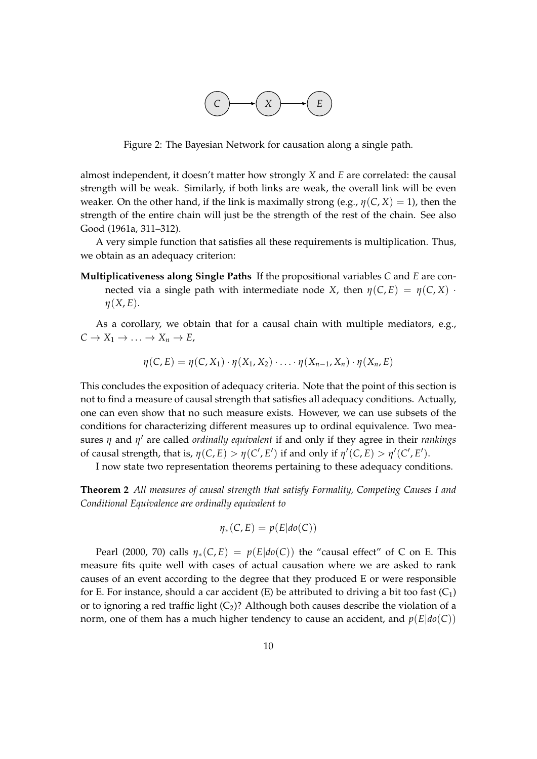

Figure 2: The Bayesian Network for causation along a single path.

almost independent, it doesn't matter how strongly *X* and *E* are correlated: the causal strength will be weak. Similarly, if both links are weak, the overall link will be even weaker. On the other hand, if the link is maximally strong (e.g.,  $\eta$ (*C*, *X*) = 1), then the strength of the entire chain will just be the strength of the rest of the chain. See also Good (1961a, 311–312).

A very simple function that satisfies all these requirements is multiplication. Thus, we obtain as an adequacy criterion:

**Multiplicativeness along Single Paths** If the propositional variables *C* and *E* are connected via a single path with intermediate node *X*, then  $\eta(C, E) = \eta(C, X)$ . *η*(*X*, *E*).

As a corollary, we obtain that for a causal chain with multiple mediators, e.g.,  $C \to X_1 \to \ldots \to X_n \to E$ ,

$$
\eta(C,E)=\eta(C,X_1)\cdot\eta(X_1,X_2)\cdot\ldots\cdot\eta(X_{n-1},X_n)\cdot\eta(X_n,E)
$$

This concludes the exposition of adequacy criteria. Note that the point of this section is not to find a measure of causal strength that satisfies all adequacy conditions. Actually, one can even show that no such measure exists. However, we can use subsets of the conditions for characterizing different measures up to ordinal equivalence. Two measures *η* and *η'* are called *ordinally equivalent* if and only if they agree in their *rankings* of causal strength, that is,  $\eta(C, E) > \eta(C', E')$  if and only if  $\eta'(C, E) > \eta'(C', E')$ .

I now state two representation theorems pertaining to these adequacy conditions.

**Theorem 2** *All measures of causal strength that satisfy Formality, Competing Causes I and Conditional Equivalence are ordinally equivalent to*

$$
\eta_*(C,E) = p(E|do(C))
$$

Pearl (2000, 70) calls  $\eta_*(C, E) = p(E|do(C))$  the "causal effect" of C on E. This measure fits quite well with cases of actual causation where we are asked to rank causes of an event according to the degree that they produced E or were responsible for E. For instance, should a car accident (E) be attributed to driving a bit too fast  $(C_1)$ or to ignoring a red traffic light  $(C_2)$ ? Although both causes describe the violation of a norm, one of them has a much higher tendency to cause an accident, and  $p(E|do(C))$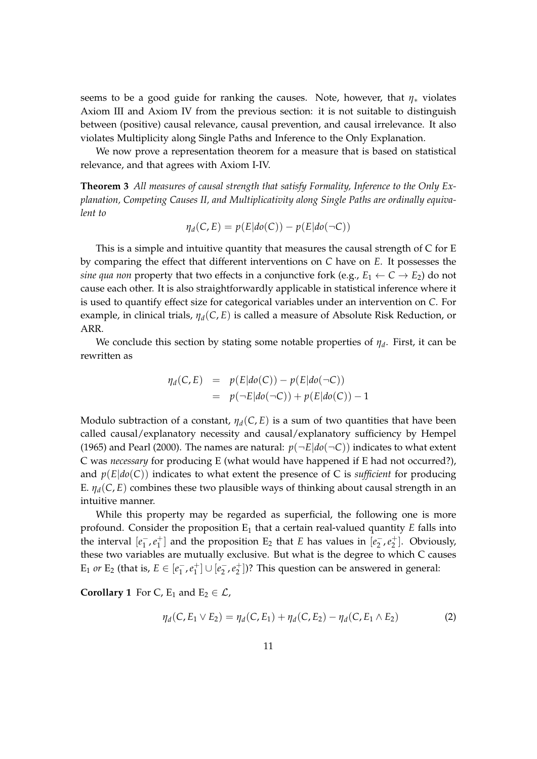seems to be a good guide for ranking the causes. Note, however, that  $\eta_*$  violates Axiom III and Axiom IV from the previous section: it is not suitable to distinguish between (positive) causal relevance, causal prevention, and causal irrelevance. It also violates Multiplicity along Single Paths and Inference to the Only Explanation.

We now prove a representation theorem for a measure that is based on statistical relevance, and that agrees with Axiom I-IV.

**Theorem 3** *All measures of causal strength that satisfy Formality, Inference to the Only Explanation, Competing Causes II, and Multiplicativity along Single Paths are ordinally equivalent to*

$$
\eta_d(C, E) = p(E|do(C)) - p(E|do(\neg C))
$$

This is a simple and intuitive quantity that measures the causal strength of C for E by comparing the effect that different interventions on *C* have on *E*. It possesses the *sine qua non* property that two effects in a conjunctive fork (e.g.,  $E_1 \leftarrow C \rightarrow E_2$ ) do not cause each other. It is also straightforwardly applicable in statistical inference where it is used to quantify effect size for categorical variables under an intervention on *C*. For example, in clinical trials, *ηd*(*C*, *E*) is called a measure of Absolute Risk Reduction, or ARR.

We conclude this section by stating some notable properties of *η<sup>d</sup>* . First, it can be rewritten as

$$
\eta_d(C, E) = p(E|do(C)) - p(E|do(\neg C))
$$
  
=  $p(\neg E|do(\neg C)) + p(E|do(C)) - 1$ 

Modulo subtraction of a constant,  $\eta_d(C, E)$  is a sum of two quantities that have been called causal/explanatory necessity and causal/explanatory sufficiency by Hempel (1965) and Pearl (2000). The names are natural:  $p(\neg E|do(\neg C))$  indicates to what extent C was *necessary* for producing E (what would have happened if E had not occurred?), and *p*(*E*|*do*(*C*)) indicates to what extent the presence of C is *sufficient* for producing E.  $\eta_d(C, E)$  combines these two plausible ways of thinking about causal strength in an intuitive manner.

While this property may be regarded as superficial, the following one is more profound. Consider the proposition E<sub>1</sub> that a certain real-valued quantity *E* falls into the interval  $[e_1^-]$  $\frac{1}{1}$ ,  $e_1^+$  $\binom{+}{1}$  and the proposition E<sub>2</sub> that *E* has values in  $\left[ e_2^-\right]$  $\frac{1}{2}$ ,  $e_2^+$  $\binom{+}{2}$ . Obviously, these two variables are mutually exclusive. But what is the degree to which C causes  $E_1$  *or*  $E_2$  (that is,  $E \in [e_1^-]$  $\frac{1}{1}$ ,  $e_1^+$  $\binom{+}{1}$   $\cup$   $\left[ e_2^- \right]$  $\frac{1}{2}$ ,  $e_2^+$  $\binom{+}{2}$ ? This question can be answered in general:

**Corollary 1** For C,  $E_1$  and  $E_2 \in \mathcal{L}$ ,

$$
\eta_d(C, E_1 \vee E_2) = \eta_d(C, E_1) + \eta_d(C, E_2) - \eta_d(C, E_1 \wedge E_2)
$$
 (2)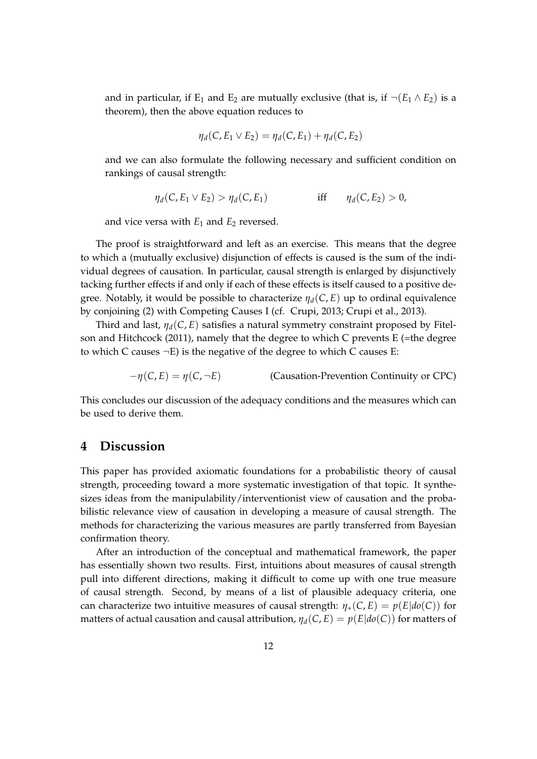and in particular, if E<sub>1</sub> and E<sub>2</sub> are mutually exclusive (that is, if  $\neg(E_1 \wedge E_2)$  is a theorem), then the above equation reduces to

$$
\eta_d(C, E_1 \vee E_2) = \eta_d(C, E_1) + \eta_d(C, E_2)
$$

and we can also formulate the following necessary and sufficient condition on rankings of causal strength:

$$
\eta_d(C, E_1 \vee E_2) > \eta_d(C, E_1) \qquad \text{iff} \qquad \eta_d(C, E_2) > 0,
$$

and vice versa with  $E_1$  and  $E_2$  reversed.

The proof is straightforward and left as an exercise. This means that the degree to which a (mutually exclusive) disjunction of effects is caused is the sum of the individual degrees of causation. In particular, causal strength is enlarged by disjunctively tacking further effects if and only if each of these effects is itself caused to a positive degree. Notably, it would be possible to characterize *ηd*(*C*, *E*) up to ordinal equivalence by conjoining (2) with Competing Causes I (cf. Crupi, 2013; Crupi et al., 2013).

Third and last, *ηd*(*C*, *E*) satisfies a natural symmetry constraint proposed by Fitelson and Hitchcock (2011), namely that the degree to which C prevents E (=the degree to which C causes  $\neg E$ ) is the negative of the degree to which C causes E:

 $-\eta(C, E) = \eta(C, \neg E)$  (Causation-Prevention Continuity or CPC)

This concludes our discussion of the adequacy conditions and the measures which can be used to derive them.

# **4 Discussion**

This paper has provided axiomatic foundations for a probabilistic theory of causal strength, proceeding toward a more systematic investigation of that topic. It synthesizes ideas from the manipulability/interventionist view of causation and the probabilistic relevance view of causation in developing a measure of causal strength. The methods for characterizing the various measures are partly transferred from Bayesian confirmation theory.

After an introduction of the conceptual and mathematical framework, the paper has essentially shown two results. First, intuitions about measures of causal strength pull into different directions, making it difficult to come up with one true measure of causal strength. Second, by means of a list of plausible adequacy criteria, one can characterize two intuitive measures of causal strength:  $\eta_*(C, E) = p(E|do(C))$  for matters of actual causation and causal attribution,  $\eta_d(C, E) = p(E|do(C))$  for matters of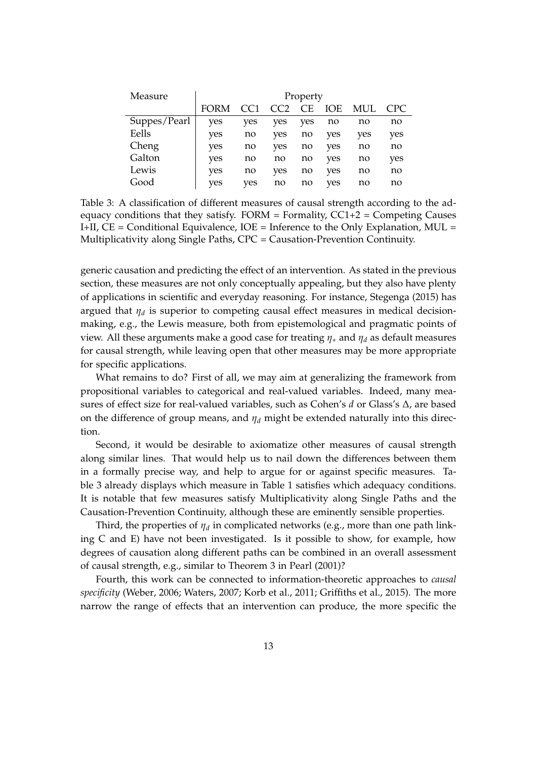| Measure      | Property    |     |     |           |            |     |      |  |
|--------------|-------------|-----|-----|-----------|------------|-----|------|--|
|              | <b>FORM</b> |     | CC2 | <b>CE</b> | <b>IOE</b> | MUL | CPC. |  |
| Suppes/Pearl | yes         | yes | ves | ves       | no         | no  | no   |  |
| Eells        | yes         | no  | yes | no        | yes        | yes | yes  |  |
| Cheng        | yes         | no  | yes | no        | yes        | no  | no   |  |
| Galton       | yes         | no  | no  | no        | yes        | no  | yes  |  |
| Lewis        | yes         | no  | yes | no        | yes        | no  | no   |  |
| Good         | yes         | ves | no  | no        | ves        | no  | no   |  |

Table 3: A classification of different measures of causal strength according to the adequacy conditions that they satisfy.  $FORM = Formality$ ,  $CC1+2 = Competing\;Causes$ I+II,  $CE =$  Conditional Equivalence,  $IOE =$  Inference to the Only Explanation, MUL = Multiplicativity along Single Paths, CPC = Causation-Prevention Continuity.

generic causation and predicting the effect of an intervention. As stated in the previous section, these measures are not only conceptually appealing, but they also have plenty of applications in scientific and everyday reasoning. For instance, Stegenga (2015) has argued that *η<sup>d</sup>* is superior to competing causal effect measures in medical decisionmaking, e.g., the Lewis measure, both from epistemological and pragmatic points of view. All these arguments make a good case for treating *η*<sup>∗</sup> and *η<sup>d</sup>* as default measures for causal strength, while leaving open that other measures may be more appropriate for specific applications.

What remains to do? First of all, we may aim at generalizing the framework from propositional variables to categorical and real-valued variables. Indeed, many measures of effect size for real-valued variables, such as Cohen's *d* or Glass's ∆, are based on the difference of group means, and  $\eta_d$  might be extended naturally into this direction.

Second, it would be desirable to axiomatize other measures of causal strength along similar lines. That would help us to nail down the differences between them in a formally precise way, and help to argue for or against specific measures. Table 3 already displays which measure in Table 1 satisfies which adequacy conditions. It is notable that few measures satisfy Multiplicativity along Single Paths and the Causation-Prevention Continuity, although these are eminently sensible properties.

Third, the properties of *η<sup>d</sup>* in complicated networks (e.g., more than one path linking C and E) have not been investigated. Is it possible to show, for example, how degrees of causation along different paths can be combined in an overall assessment of causal strength, e.g., similar to Theorem 3 in Pearl (2001)?

Fourth, this work can be connected to information-theoretic approaches to *causal specificity* (Weber, 2006; Waters, 2007; Korb et al., 2011; Griffiths et al., 2015). The more narrow the range of effects that an intervention can produce, the more specific the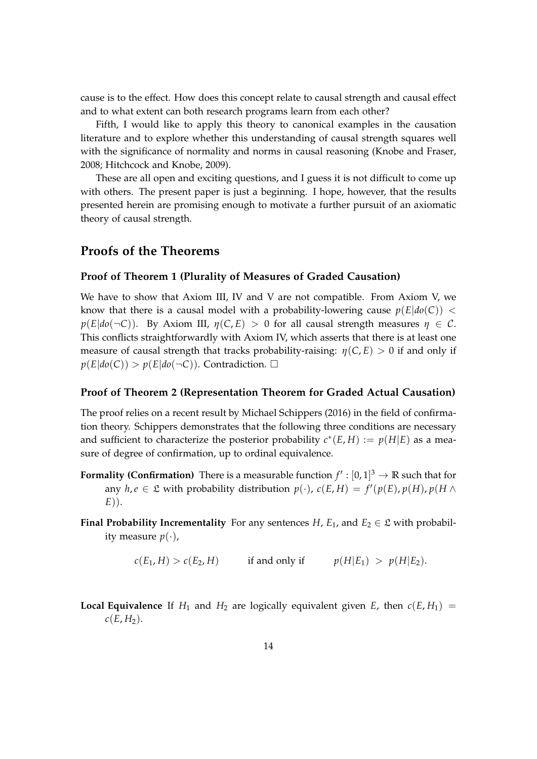cause is to the effect. How does this concept relate to causal strength and causal effect and to what extent can both research programs learn from each other?

Fifth, I would like to apply this theory to canonical examples in the causation literature and to explore whether this understanding of causal strength squares well with the significance of normality and norms in causal reasoning (Knobe and Fraser, 2008; Hitchcock and Knobe, 2009).

These are all open and exciting questions, and I guess it is not difficult to come up with others. The present paper is just a beginning. I hope, however, that the results presented herein are promising enough to motivate a further pursuit of an axiomatic theory of causal strength.

## **Proofs of the Theorems**

### **Proof of Theorem 1 (Plurality of Measures of Graded Causation)**

We have to show that Axiom III, IV and V are not compatible. From Axiom V, we know that there is a causal model with a probability-lowering cause  $p(E|do(C))$  < *p*(*E*| $do(¬C)$ ). By Axiom III,  $η(C, E) > 0$  for all causal strength measures  $η ∈ C$ . This conflicts straightforwardly with Axiom IV, which asserts that there is at least one measure of causal strength that tracks probability-raising:  $\eta(C, E) > 0$  if and only if  $p(E|do(C)) > p(E|do(\neg C))$ . Contradiction.  $\Box$ 

### **Proof of Theorem 2 (Representation Theorem for Graded Actual Causation)**

The proof relies on a recent result by Michael Schippers (2016) in the field of confirmation theory. Schippers demonstrates that the following three conditions are necessary and sufficient to characterize the posterior probability  $c^*(E, H) := p(H|E)$  as a measure of degree of confirmation, up to ordinal equivalence.

- **Formality (Confirmation)** There is a measurable function  $f': [0,1]^3 \to \mathbb{R}$  such that for any  $h, e \in \mathfrak{L}$  with probability distribution  $p(\cdot)$ ,  $c(E, H) = f'(p(E), p(H), p(H \wedge$ *E*)).
- **Final Probability Incrementality** For any sentences *H*,  $E_1$ , and  $E_2 \in \mathcal{L}$  with probability measure  $p(\cdot)$ ,

 $c(E_1, H) > c(E_2, H)$  if and only if  $p(H|E_1) > p(H|E_2)$ .

**Local Equivalence** If  $H_1$  and  $H_2$  are logically equivalent given *E*, then  $c(E, H_1)$  =  $c(E, H_2)$ .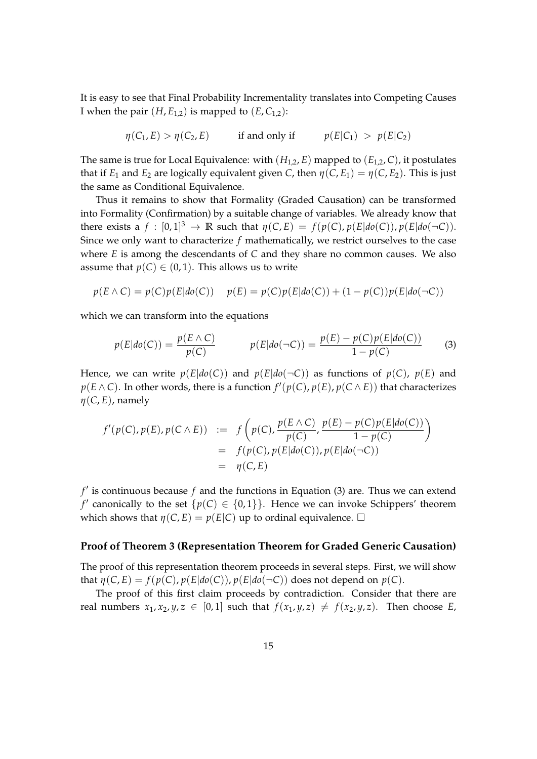It is easy to see that Final Probability Incrementality translates into Competing Causes I when the pair  $(H, E_{1,2})$  is mapped to  $(E, C_{1,2})$ :

$$
\eta(C_1, E) > \eta(C_2, E)
$$
 if and only if  $p(E|C_1) > p(E|C_2)$ 

The same is true for Local Equivalence: with  $(H_{1,2}, E)$  mapped to  $(E_{1,2}, C)$ , it postulates that if  $E_1$  and  $E_2$  are logically equivalent given *C*, then  $\eta(C, E_1) = \eta(C, E_2)$ . This is just the same as Conditional Equivalence.

Thus it remains to show that Formality (Graded Causation) can be transformed into Formality (Confirmation) by a suitable change of variables. We already know that there exists a  $f : [0,1]^3 \to \mathbb{R}$  such that  $\eta(C,E) = f(p(C), p(E|do(C)), p(E|do(\neg C)).$ Since we only want to characterize *f* mathematically, we restrict ourselves to the case where *E* is among the descendants of *C* and they share no common causes. We also assume that  $p(C) \in (0, 1)$ . This allows us to write

$$
p(E \wedge C) = p(C)p(E|do(C)) \quad p(E) = p(C)p(E|do(C)) + (1 - p(C))p(E|do(\neg C))
$$

which we can transform into the equations

$$
p(E|do(C)) = \frac{p(E \wedge C)}{p(C)} \qquad p(E|do(\neg C)) = \frac{p(E) - p(C)p(E|do(C))}{1 - p(C)} \tag{3}
$$

Hence, we can write  $p(E|do(C))$  and  $p(E|do(\neg C))$  as functions of  $p(C)$ ,  $p(E)$  and  $p(E \wedge C)$ . In other words, there is a function  $f'(p(C), p(E), p(C \wedge E))$  that characterizes *η*(*C*, *E*), namely

$$
f'(p(C), p(E), p(C \wedge E)) := f\left(p(C), \frac{p(E \wedge C)}{p(C)}, \frac{p(E) - p(C)p(E|do(C))}{1 - p(C)}\right)
$$
  
= 
$$
f(p(C), p(E|do(C)), p(E|do(\neg C))
$$
  
= 
$$
\eta(C, E)
$$

 $f'$  is continuous because  $f$  and the functions in Equation (3) are. Thus we can extend *f'* canonically to the set  $\{p(C) \in \{0,1\}\}\$ . Hence we can invoke Schippers' theorem which shows that  $\eta(C, E) = p(E|C)$  up to ordinal equivalence.  $\Box$ 

#### **Proof of Theorem 3 (Representation Theorem for Graded Generic Causation)**

The proof of this representation theorem proceeds in several steps. First, we will show that  $\eta(C, E) = f(p(C), p(E|do(C)), p(E|do(\neg C))$  does not depend on  $p(C)$ .

The proof of this first claim proceeds by contradiction. Consider that there are real numbers  $x_1, x_2, y, z \in [0, 1]$  such that  $f(x_1, y, z) \neq f(x_2, y, z)$ . Then choose *E*,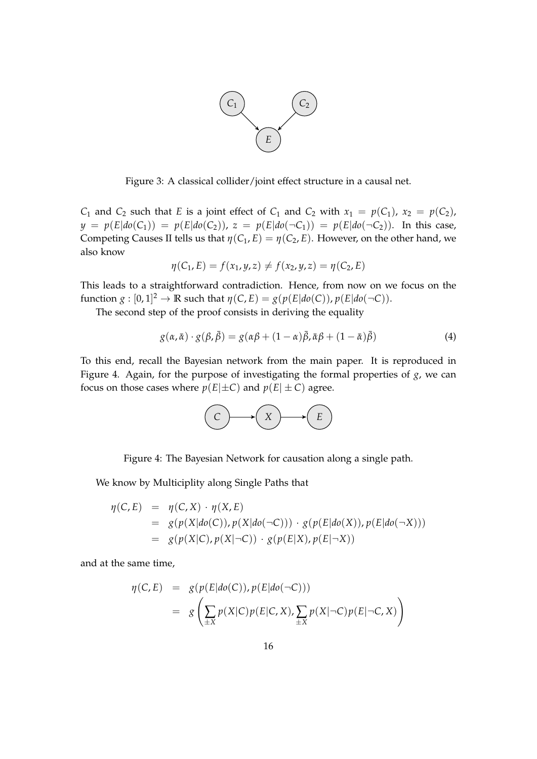

Figure 3: A classical collider/joint effect structure in a causal net.

*C*<sub>1</sub> and *C*<sub>2</sub> such that *E* is a joint effect of *C*<sub>1</sub> and *C*<sub>2</sub> with  $x_1 = p(C_1)$ ,  $x_2 = p(C_2)$ ,  $y = p(E|do(C_1)) = p(E|do(C_2))$ ,  $z = p(E|do(\neg C_1)) = p(E|do(\neg C_2))$ . In this case, Competing Causes II tells us that  $\eta(C_1, E) = \eta(C_2, E)$ . However, on the other hand, we also know

$$
\eta(C_1, E) = f(x_1, y, z) \neq f(x_2, y, z) = \eta(C_2, E)
$$

This leads to a straightforward contradiction. Hence, from now on we focus on the function  $g : [0, 1]^2 \to \mathbb{R}$  such that  $\eta(C, E) = g(p(E|do(C)), p(E|do(\neg C)).$ 

The second step of the proof consists in deriving the equality

$$
g(\alpha, \bar{\alpha}) \cdot g(\beta, \bar{\beta}) = g(\alpha\beta + (1 - \alpha)\bar{\beta}, \bar{\alpha}\beta + (1 - \bar{\alpha})\bar{\beta})
$$
\n(4)

To this end, recall the Bayesian network from the main paper. It is reproduced in Figure 4. Again, for the purpose of investigating the formal properties of *g*, we can focus on those cases where  $p(E|\pm C)$  and  $p(E|\pm C)$  agree.



Figure 4: The Bayesian Network for causation along a single path.

We know by Multiciplity along Single Paths that

$$
\eta(C, E) = \eta(C, X) \cdot \eta(X, E)
$$
  
=  $g(p(X|do(C)), p(X|do(\neg C))) \cdot g(p(E|do(X)), p(E|do(\neg X)))$   
=  $g(p(X|C), p(X|\neg C)) \cdot g(p(E|X), p(E|\neg X))$ 

and at the same time,

$$
\eta(C, E) = g(p(E|do(C)), p(E|do(\neg C)))
$$
  
= 
$$
g\left(\sum_{\pm X} p(X|C)p(E|C, X), \sum_{\pm X} p(X|\neg C)p(E|\neg C, X)\right)
$$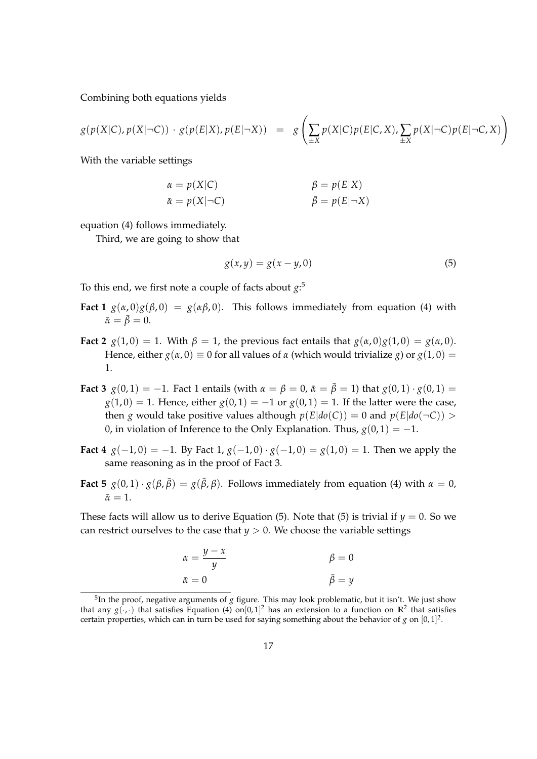Combining both equations yields

$$
g(p(X|C), p(X|\neg C)) \cdot g(p(E|X), p(E|\neg X)) = g\left(\sum_{\pm X} p(X|C)p(E|C, X), \sum_{\pm X} p(X|\neg C)p(E|\neg C, X)\right)
$$

With the variable settings

$$
\alpha = p(X|C) \qquad \beta = p(E|X) \n\bar{\alpha} = p(X|\neg C) \qquad \bar{\beta} = p(E|\neg X)
$$

equation (4) follows immediately.

Third, we are going to show that

$$
g(x, y) = g(x - y, 0) \tag{5}
$$

To this end, we first note a couple of facts about *g*: 5

- **Fact 1**  $g(\alpha,0)g(\beta,0) = g(\alpha\beta,0)$ . This follows immediately from equation (4) with  $\bar{\alpha} = \bar{\beta} = 0.$
- **Fact 2**  $g(1,0) = 1$ . With  $\beta = 1$ , the previous fact entails that  $g(\alpha,0)g(1,0) = g(\alpha,0)$ . Hence, either  $g(\alpha, 0) \equiv 0$  for all values of  $\alpha$  (which would trivialize *g*) or  $g(1, 0) =$ 1.
- **Fact 3**  $g(0, 1) = -1$ . Fact 1 entails (with  $\alpha = \beta = 0$ ,  $\bar{\alpha} = \bar{\beta} = 1$ ) that  $g(0, 1) \cdot g(0, 1) =$  $g(1,0) = 1$ . Hence, either  $g(0,1) = -1$  or  $g(0,1) = 1$ . If the latter were the case, then *g* would take positive values although  $p(E|do(C)) = 0$  and  $p(E|do(\neg C)) >$ 0, in violation of Inference to the Only Explanation. Thus,  $g(0, 1) = -1$ .
- **Fact 4**  $g(-1,0) = -1$ . By Fact 1,  $g(-1,0) \cdot g(-1,0) = g(1,0) = 1$ . Then we apply the same reasoning as in the proof of Fact 3.
- **Fact 5**  $g(0,1) \cdot g(\beta, \bar{\beta}) = g(\bar{\beta}, \beta)$ . Follows immediately from equation (4) with  $\alpha = 0$ ,  $\bar{\alpha}=1.$

These facts will allow us to derive Equation (5). Note that (5) is trivial if  $y = 0$ . So we can restrict ourselves to the case that  $y > 0$ . We choose the variable settings

$$
\begin{aligned}\n\alpha &= \frac{y - x}{y} & \beta &= 0\\ \n\bar{\alpha} &= 0 & \bar{\beta} &= y\n\end{aligned}
$$

<sup>5</sup> In the proof, negative arguments of *g* figure. This may look problematic, but it isn't. We just show that any  $g(\cdot,\cdot)$  that satisfies Equation (4) on $[0,1]^2$  has an extension to a function on  $\mathbb{R}^2$  that satisfies certain properties, which can in turn be used for saying something about the behavior of  $g$  on  $[0, 1]^2$ .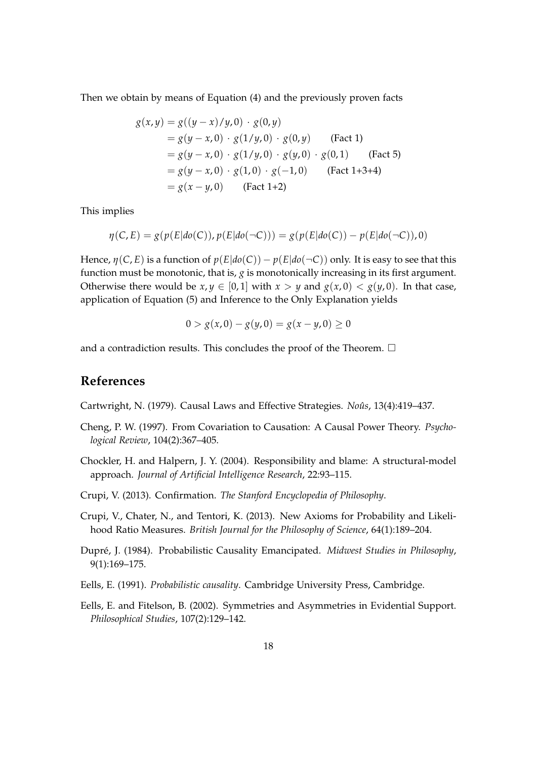Then we obtain by means of Equation (4) and the previously proven facts

$$
g(x,y) = g((y-x)/y,0) \cdot g(0,y)
$$
  
=  $g(y-x,0) \cdot g(1/y,0) \cdot g(0,y)$  (Fact 1)  
=  $g(y-x,0) \cdot g(1/y,0) \cdot g(y,0) \cdot g(0,1)$  (Fact 5)  
=  $g(y-x,0) \cdot g(1,0) \cdot g(-1,0)$  (Fact 1+3+4)  
=  $g(x-y,0)$  (Fact 1+2)

This implies

$$
\eta(C, E) = g(p(E|do(C)), p(E|do(\neg C))) = g(p(E|do(C)) - p(E|do(\neg C)), 0)
$$

Hence,  $\eta(C, E)$  is a function of  $p(E|do(C)) - p(E|do(\neg C))$  only. It is easy to see that this function must be monotonic, that is, *g* is monotonically increasing in its first argument. Otherwise there would be  $x, y \in [0, 1]$  with  $x > y$  and  $g(x, 0) < g(y, 0)$ . In that case, application of Equation (5) and Inference to the Only Explanation yields

$$
0 > g(x,0) - g(y,0) = g(x - y,0) \ge 0
$$

and a contradiction results. This concludes the proof of the Theorem.  $\Box$ 

# **References**

Cartwright, N. (1979). Causal Laws and Effective Strategies. *Noûs*, 13(4):419–437.

- Cheng, P. W. (1997). From Covariation to Causation: A Causal Power Theory. *Psychological Review*, 104(2):367–405.
- Chockler, H. and Halpern, J. Y. (2004). Responsibility and blame: A structural-model approach. *Journal of Artificial Intelligence Research*, 22:93–115.
- Crupi, V. (2013). Confirmation. *The Stanford Encyclopedia of Philosophy*.
- Crupi, V., Chater, N., and Tentori, K. (2013). New Axioms for Probability and Likelihood Ratio Measures. *British Journal for the Philosophy of Science*, 64(1):189–204.
- Dupré, J. (1984). Probabilistic Causality Emancipated. *Midwest Studies in Philosophy*, 9(1):169–175.
- Eells, E. (1991). *Probabilistic causality*. Cambridge University Press, Cambridge.
- Eells, E. and Fitelson, B. (2002). Symmetries and Asymmetries in Evidential Support. *Philosophical Studies*, 107(2):129–142.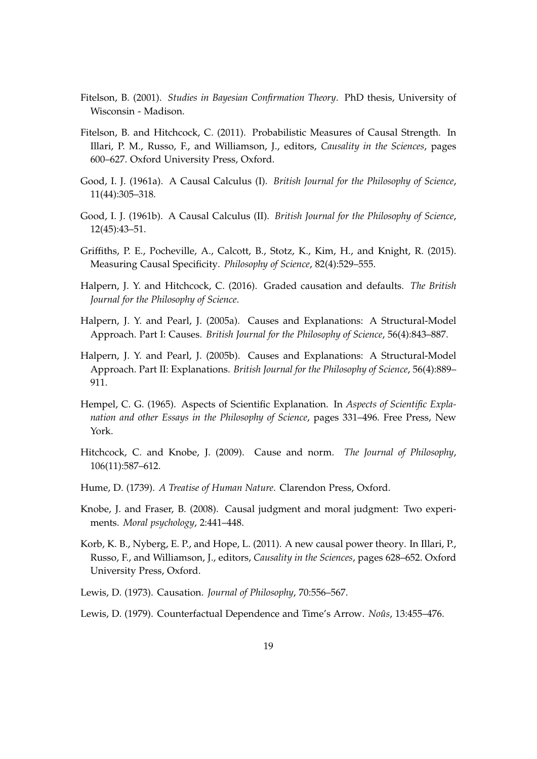- Fitelson, B. (2001). *Studies in Bayesian Confirmation Theory*. PhD thesis, University of Wisconsin - Madison.
- Fitelson, B. and Hitchcock, C. (2011). Probabilistic Measures of Causal Strength. In Illari, P. M., Russo, F., and Williamson, J., editors, *Causality in the Sciences*, pages 600–627. Oxford University Press, Oxford.
- Good, I. J. (1961a). A Causal Calculus (I). *British Journal for the Philosophy of Science*, 11(44):305–318.
- Good, I. J. (1961b). A Causal Calculus (II). *British Journal for the Philosophy of Science*, 12(45):43–51.
- Griffiths, P. E., Pocheville, A., Calcott, B., Stotz, K., Kim, H., and Knight, R. (2015). Measuring Causal Specificity. *Philosophy of Science*, 82(4):529–555.
- Halpern, J. Y. and Hitchcock, C. (2016). Graded causation and defaults. *The British Journal for the Philosophy of Science*.
- Halpern, J. Y. and Pearl, J. (2005a). Causes and Explanations: A Structural-Model Approach. Part I: Causes. *British Journal for the Philosophy of Science*, 56(4):843–887.
- Halpern, J. Y. and Pearl, J. (2005b). Causes and Explanations: A Structural-Model Approach. Part II: Explanations. *British Journal for the Philosophy of Science*, 56(4):889– 911.
- Hempel, C. G. (1965). Aspects of Scientific Explanation. In *Aspects of Scientific Explanation and other Essays in the Philosophy of Science*, pages 331–496. Free Press, New York.
- Hitchcock, C. and Knobe, J. (2009). Cause and norm. *The Journal of Philosophy*, 106(11):587–612.
- Hume, D. (1739). *A Treatise of Human Nature*. Clarendon Press, Oxford.
- Knobe, J. and Fraser, B. (2008). Causal judgment and moral judgment: Two experiments. *Moral psychology*, 2:441–448.
- Korb, K. B., Nyberg, E. P., and Hope, L. (2011). A new causal power theory. In Illari, P., Russo, F., and Williamson, J., editors, *Causality in the Sciences*, pages 628–652. Oxford University Press, Oxford.
- Lewis, D. (1973). Causation. *Journal of Philosophy*, 70:556–567.
- Lewis, D. (1979). Counterfactual Dependence and Time's Arrow. *Noûs*, 13:455–476.